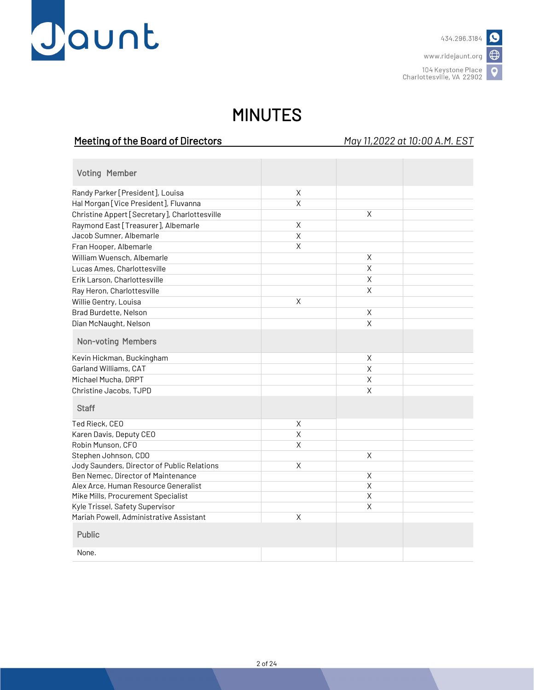

www.ridejaunt.org

 $\bullet$ 

104 Keystone Place Charlottesville, VA 22902

## MINUTES

Meeting of the Board of Directors *May 11,2022 at 10:00 A.M. EST*

| <b>Voting Member</b>                          |             |                         |  |
|-----------------------------------------------|-------------|-------------------------|--|
| Randy Parker [President], Louisa              | X           |                         |  |
| Hal Morgan [Vice President], Fluvanna         | X           |                         |  |
| Christine Appert [Secretary], Charlottesville |             | Χ                       |  |
| Raymond East [Treasurer], Albemarle           | X           |                         |  |
| Jacob Sumner, Albemarle                       | $\mathsf X$ |                         |  |
| Fran Hooper, Albemarle                        | X           |                         |  |
| William Wuensch, Albemarle                    |             | $\mathsf X$             |  |
| Lucas Ames, Charlottesville                   |             | Χ                       |  |
| Erik Larson, Charlottesville                  |             | $\mathsf X$             |  |
| Ray Heron, Charlottesville                    |             | Χ                       |  |
| Willie Gentry, Louisa                         | X           |                         |  |
| Brad Burdette, Nelson                         |             | X                       |  |
| Dian McNaught, Nelson                         |             | Χ                       |  |
| <b>Non-voting Members</b>                     |             |                         |  |
| Kevin Hickman, Buckingham                     |             | Χ                       |  |
| Garland Williams, CAT                         |             | Χ                       |  |
| Michael Mucha, DRPT                           |             | Χ                       |  |
| Christine Jacobs, TJPD                        |             | X                       |  |
| <b>Staff</b>                                  |             |                         |  |
| Ted Rieck, CEO                                | X           |                         |  |
| Karen Davis, Deputy CEO                       | X           |                         |  |
| Robin Munson, CFO                             | X           |                         |  |
| Stephen Johnson, CDO                          |             | X                       |  |
| Jody Saunders, Director of Public Relations   | $\mathsf X$ |                         |  |
| Ben Nemec, Director of Maintenance            |             | X                       |  |
| Alex Arce, Human Resource Generalist          |             | $\overline{\mathsf{X}}$ |  |
| Mike Mills, Procurement Specialist            |             | $\overline{\mathsf{x}}$ |  |
| Kyle Trissel, Safety Supervisor               |             | X                       |  |
| Mariah Powell, Administrative Assistant       | $\mathsf X$ |                         |  |
| <b>Public</b>                                 |             |                         |  |
| None.                                         |             |                         |  |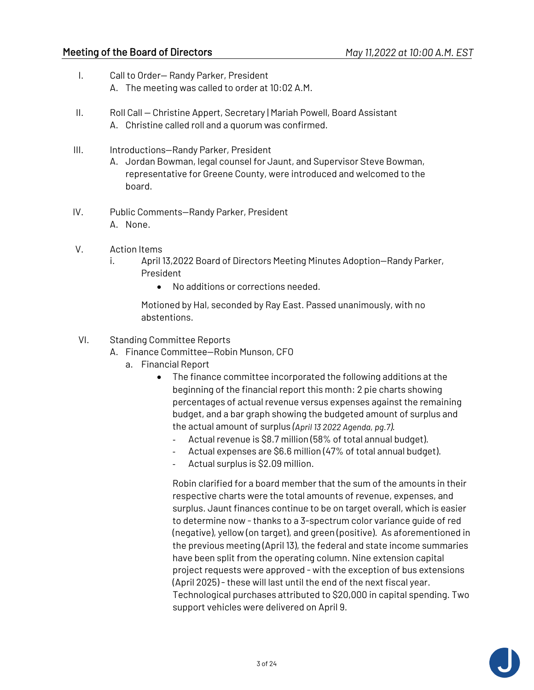- I. Call to Order— Randy Parker, President A. The meeting was called to order at 10:02 A.M.
- II. Roll Call Christine Appert, Secretary | Mariah Powell, Board Assistant A. Christine called roll and a quorum was confirmed.
- III. Introductions-Randy Parker, President
	- A. Jordan Bowman, legal counsel for Jaunt, and Supervisor Steve Bowman, representative for Greene County, were introduced and welcomed to the board.
- IV. Public Comments—Randy Parker, President A. None.
- V. Action Items
	- i. April 13,2022 Board of Directors Meeting Minutes Adoption—Randy Parker, President
		- No additions or corrections needed.

Motioned by Hal, seconded by Ray East. Passed unanimously, with no abstentions.

- VI. Standing Committee Reports
	- A. Finance Committee—Robin Munson, CFO
		- a. Financial Report
			- The finance committee incorporated the following additions at the beginning of the financial report this month: 2 pie charts showing percentages of actual revenue versus expenses against the remaining budget, and a bar graph showing the budgeted amount of surplus and the actual amount of surplus *(April 13 2022 Agenda, pg.7).*
				- Actual revenue is \$8.7 million (58% of total annual budget).
				- Actual expenses are \$6.6 million (47% of total annual budget).
				- Actual surplus is \$2.09 million.

Robin clarified for a board member that the sum of the amounts in their respective charts were the total amounts of revenue, expenses, and surplus. Jaunt finances continue to be on target overall, which is easier to determine now - thanks to a 3-spectrum color variance guide of red (negative), yellow (on target), and green (positive). As aforementioned in the previous meeting (April 13), the federal and state income summaries have been split from the operating column. Nine extension capital project requests were approved - with the exception of bus extensions (April 2025) - these will last until the end of the next fiscal year. Technological purchases attributed to \$20,000 in capital spending. Two support vehicles were delivered on April 9.

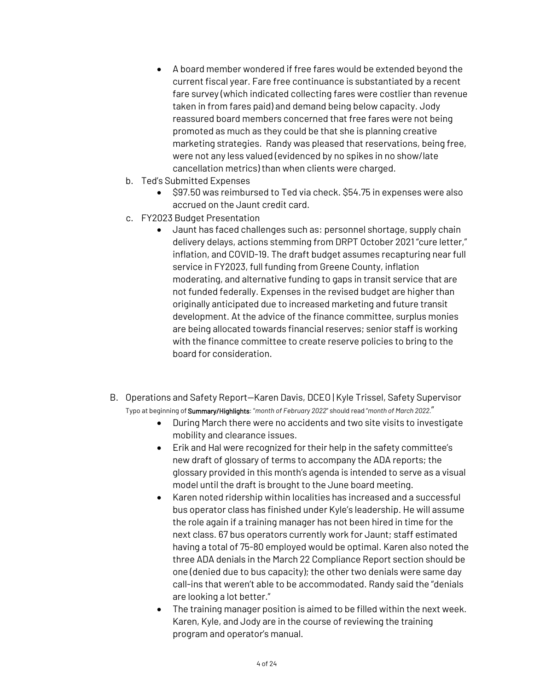- A board member wondered if free fares would be extended beyond the current fiscal year. Fare free continuance is substantiated by a recent fare survey (which indicated collecting fares were costlier than revenue taken in from fares paid) and demand being below capacity. Jody reassured board members concerned that free fares were not being promoted as much as they could be that she is planning creative marketing strategies. Randy was pleased that reservations, being free, were not any less valued (evidenced by no spikes in no show/late cancellation metrics) than when clients were charged.
- b. Ted's Submitted Expenses
	- \$97.50 was reimbursed to Ted via check. \$54.75 in expenses were also accrued on the Jaunt credit card.
- c. FY2023 Budget Presentation
	- Jaunt has faced challenges such as: personnel shortage, supply chain delivery delays, actions stemming from DRPT October 2021 "cure letter," inflation, and COVID-19. The draft budget assumes recapturing near full service in FY2023, full funding from Greene County, inflation moderating, and alternative funding to gaps in transit service that are not funded federally. Expenses in the revised budget are higher than originally anticipated due to increased marketing and future transit development. At the advice of the finance committee, surplus monies are being allocated towards financial reserves; senior staff is working with the finance committee to create reserve policies to bring to the board for consideration.
- B. Operations and Safety Report—Karen Davis, DCEO | Kyle Trissel, Safety Supervisor Typo at beginning of Summary/Highlights: "*month of February 2022*" should read "*month of March 2022.*"
	- During March there were no accidents and two site visits to investigate mobility and clearance issues.
	- Erik and Hal were recognized for their help in the safety committee's new draft of glossary of terms to accompany the ADA reports; the glossary provided in this month's agenda is intended to serve as a visual model until the draft is brought to the June board meeting.
	- Karen noted ridership within localities has increased and a successful bus operator class has finished under Kyle's leadership. He will assume the role again if a training manager has not been hired in time for the next class. 67 bus operators currently work for Jaunt; staff estimated having a total of 75-80 employed would be optimal. Karen also noted the three ADA denials in the March 22 Compliance Report section should be one (denied due to bus capacity); the other two denials were same day call-ins that weren't able to be accommodated. Randy said the "denials are looking a lot better."
	- The training manager position is aimed to be filled within the next week. Karen, Kyle, and Jody are in the course of reviewing the training program and operator's manual.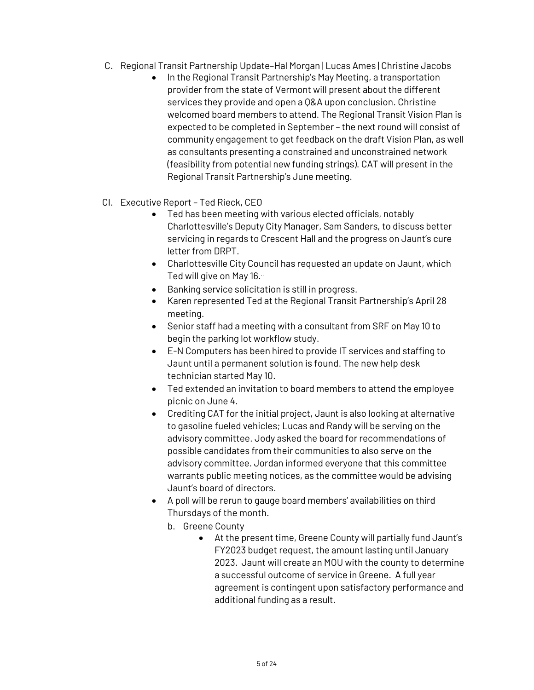- C. Regional Transit Partnership Update–Hal Morgan | Lucas Ames | Christine Jacobs
	- In the Regional Transit Partnership's May Meeting, a transportation provider from the state of Vermont will present about the different services they provide and open a Q&A upon conclusion. Christine welcomed board members to attend. The Regional Transit Vision Plan is expected to be completed in September – the next round will consist of community engagement to get feedback on the draft Vision Plan, as well as consultants presenting a constrained and unconstrained network (feasibility from potential new funding strings). CAT will present in the Regional Transit Partnership's June meeting.
- CI. Executive Report Ted Rieck, CEO
	- Ted has been meeting with various elected officials, notably Charlottesville's Deputy City Manager, Sam Sanders, to discuss better servicing in regards to Crescent Hall and the progress on Jaunt's cure letter from DRPT.
	- Charlottesville City Council has requested an update on Jaunt, which Ted will give on May 16.
	- Banking service solicitation is still in progress.
	- Karen represented Ted at the Regional Transit Partnership's April 28 meeting.
	- Senior staff had a meeting with a consultant from SRF on May 10 to begin the parking lot workflow study.
	- E-N Computers has been hired to provide IT services and staffing to Jaunt until a permanent solution is found. The new help desk technician started May 10.
	- Ted extended an invitation to board members to attend the employee picnic on June 4.
	- Crediting CAT for the initial project, Jaunt is also looking at alternative to gasoline fueled vehicles; Lucas and Randy will be serving on the advisory committee. Jody asked the board for recommendations of possible candidates from their communities to also serve on the advisory committee. Jordan informed everyone that this committee warrants public meeting notices, as the committee would be advising Jaunt's board of directors.
	- A poll will be rerun to gauge board members' availabilities on third Thursdays of the month.
		- b. Greene County
			- At the present time, Greene County will partially fund Jaunt's FY2023 budget request, the amount lasting until January 2023. Jaunt will create an MOU with the county to determine a successful outcome of service in Greene. A full year agreement is contingent upon satisfactory performance and additional funding as a result.